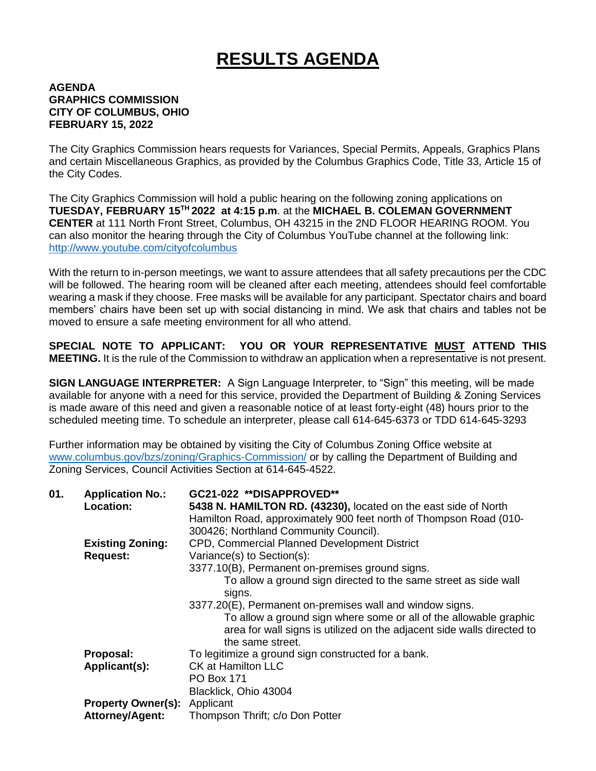## **RESULTS AGENDA**

## **AGENDA GRAPHICS COMMISSION CITY OF COLUMBUS, OHIO FEBRUARY 15, 2022**

The City Graphics Commission hears requests for Variances, Special Permits, Appeals, Graphics Plans and certain Miscellaneous Graphics, as provided by the Columbus Graphics Code, Title 33, Article 15 of the City Codes.

The City Graphics Commission will hold a public hearing on the following zoning applications on **TUESDAY, FEBRUARY 15TH 2022 at 4:15 p.m**. at the **MICHAEL B. COLEMAN GOVERNMENT CENTER** at 111 North Front Street, Columbus, OH 43215 in the 2ND FLOOR HEARING ROOM. You can also monitor the hearing through the City of Columbus YouTube channel at the following link: <http://www.youtube.com/cityofcolumbus>

With the return to in-person meetings, we want to assure attendees that all safety precautions per the CDC will be followed. The hearing room will be cleaned after each meeting, attendees should feel comfortable wearing a mask if they choose. Free masks will be available for any participant. Spectator chairs and board members' chairs have been set up with social distancing in mind. We ask that chairs and tables not be moved to ensure a safe meeting environment for all who attend.

**SPECIAL NOTE TO APPLICANT: YOU OR YOUR REPRESENTATIVE MUST ATTEND THIS MEETING.** It is the rule of the Commission to withdraw an application when a representative is not present.

**SIGN LANGUAGE INTERPRETER:** A Sign Language Interpreter, to "Sign" this meeting, will be made available for anyone with a need for this service, provided the Department of Building & Zoning Services is made aware of this need and given a reasonable notice of at least forty-eight (48) hours prior to the scheduled meeting time. To schedule an interpreter, please call 614-645-6373 or TDD 614-645-3293

Further information may be obtained by visiting the City of Columbus Zoning Office website at [www.columbus.gov/bzs/zoning/Graphics-Commission/](http://www.columbus.gov/bzs/zoning/Graphics-Commission/) or by calling the Department of Building and Zoning Services, Council Activities Section at 614-645-4522.

| 01. | <b>Application No.:</b>   | GC21-022 **DISAPPROVED**                                               |
|-----|---------------------------|------------------------------------------------------------------------|
|     | <b>Location:</b>          | 5438 N. HAMILTON RD. (43230), located on the east side of North        |
|     |                           | Hamilton Road, approximately 900 feet north of Thompson Road (010-     |
|     |                           | 300426; Northland Community Council).                                  |
|     | <b>Existing Zoning:</b>   | CPD, Commercial Planned Development District                           |
|     | <b>Request:</b>           | Variance(s) to Section(s):                                             |
|     |                           | 3377.10(B), Permanent on-premises ground signs.                        |
|     |                           | To allow a ground sign directed to the same street as side wall        |
|     |                           | signs.                                                                 |
|     |                           | 3377.20(E), Permanent on-premises wall and window signs.               |
|     |                           | To allow a ground sign where some or all of the allowable graphic      |
|     |                           | area for wall signs is utilized on the adjacent side walls directed to |
|     |                           | the same street.                                                       |
|     | Proposal:                 | To legitimize a ground sign constructed for a bank.                    |
|     | Applicant(s):             | <b>CK at Hamilton LLC</b>                                              |
|     |                           | <b>PO Box 171</b>                                                      |
|     |                           | Blacklick, Ohio 43004                                                  |
|     | <b>Property Owner(s):</b> | Applicant                                                              |
|     | <b>Attorney/Agent:</b>    | Thompson Thrift; c/o Don Potter                                        |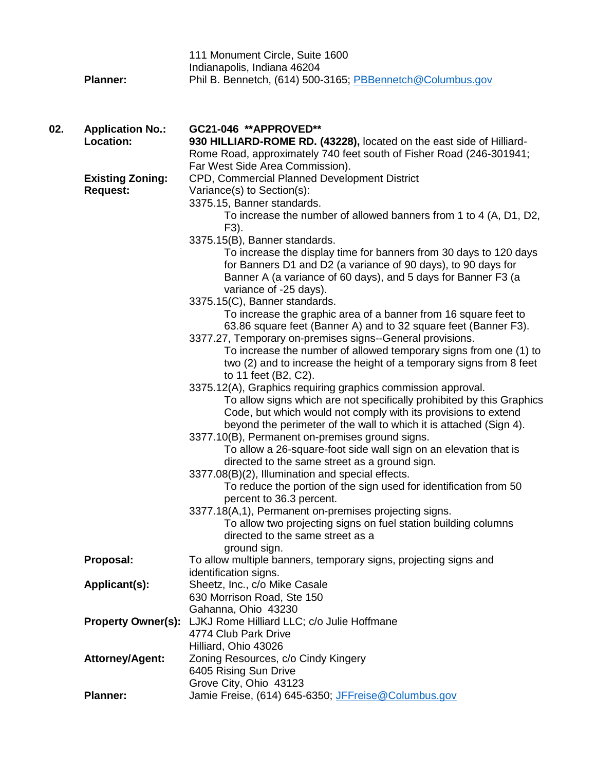|     |                           | 111 Monument Circle, Suite 1600                                       |
|-----|---------------------------|-----------------------------------------------------------------------|
|     |                           | Indianapolis, Indiana 46204                                           |
|     | <b>Planner:</b>           | Phil B. Bennetch, (614) 500-3165; PBBennetch@Columbus.gov             |
|     |                           |                                                                       |
|     |                           |                                                                       |
|     |                           |                                                                       |
| 02. | <b>Application No.:</b>   | GC21-046 ** APPROVED**                                                |
|     | Location:                 | 930 HILLIARD-ROME RD. (43228), located on the east side of Hilliard-  |
|     |                           | Rome Road, approximately 740 feet south of Fisher Road (246-301941;   |
|     |                           | Far West Side Area Commission).                                       |
|     | <b>Existing Zoning:</b>   | CPD, Commercial Planned Development District                          |
|     | <b>Request:</b>           | Variance(s) to Section(s):                                            |
|     |                           | 3375.15, Banner standards.                                            |
|     |                           | To increase the number of allowed banners from 1 to 4 (A, D1, D2,     |
|     |                           | F3).                                                                  |
|     |                           | 3375.15(B), Banner standards.                                         |
|     |                           | To increase the display time for banners from 30 days to 120 days     |
|     |                           | for Banners D1 and D2 (a variance of 90 days), to 90 days for         |
|     |                           | Banner A (a variance of 60 days), and 5 days for Banner F3 (a         |
|     |                           | variance of -25 days).<br>3375.15(C), Banner standards.               |
|     |                           | To increase the graphic area of a banner from 16 square feet to       |
|     |                           | 63.86 square feet (Banner A) and to 32 square feet (Banner F3).       |
|     |                           | 3377.27, Temporary on-premises signs--General provisions.             |
|     |                           | To increase the number of allowed temporary signs from one (1) to     |
|     |                           | two (2) and to increase the height of a temporary signs from 8 feet   |
|     |                           | to 11 feet (B2, C2).                                                  |
|     |                           | 3375.12(A), Graphics requiring graphics commission approval.          |
|     |                           | To allow signs which are not specifically prohibited by this Graphics |
|     |                           | Code, but which would not comply with its provisions to extend        |
|     |                           | beyond the perimeter of the wall to which it is attached (Sign 4).    |
|     |                           | 3377.10(B), Permanent on-premises ground signs.                       |
|     |                           | To allow a 26-square-foot side wall sign on an elevation that is      |
|     |                           | directed to the same street as a ground sign.                         |
|     |                           | 3377.08(B)(2), Illumination and special effects.                      |
|     |                           | To reduce the portion of the sign used for identification from 50     |
|     |                           | percent to 36.3 percent.                                              |
|     |                           | 3377.18(A,1), Permanent on-premises projecting signs.                 |
|     |                           | To allow two projecting signs on fuel station building columns        |
|     |                           | directed to the same street as a                                      |
|     |                           | ground sign.                                                          |
|     | Proposal:                 | To allow multiple banners, temporary signs, projecting signs and      |
|     |                           | identification signs.                                                 |
|     | Applicant(s):             | Sheetz, Inc., c/o Mike Casale                                         |
|     |                           | 630 Morrison Road, Ste 150                                            |
|     |                           | Gahanna, Ohio 43230                                                   |
|     | <b>Property Owner(s):</b> | LJKJ Rome Hilliard LLC; c/o Julie Hoffmane                            |
|     |                           | 4774 Club Park Drive                                                  |
|     |                           | Hilliard, Ohio 43026                                                  |
|     | <b>Attorney/Agent:</b>    | Zoning Resources, c/o Cindy Kingery                                   |
|     |                           | 6405 Rising Sun Drive                                                 |
|     |                           | Grove City, Ohio 43123                                                |
|     | <b>Planner:</b>           | Jamie Freise, (614) 645-6350; JFFreise@Columbus.gov                   |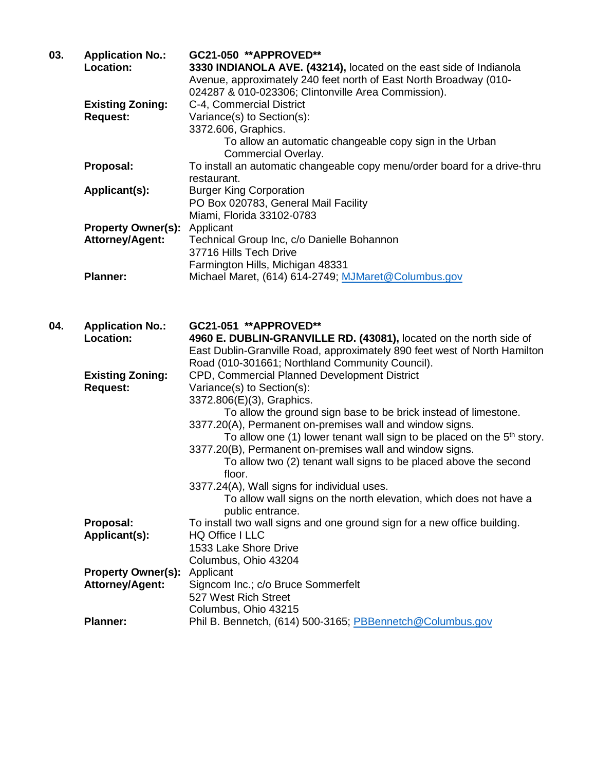| 03. | <b>Application No.:</b><br>Location:       | GC21-050 **APPROVED**<br>3330 INDIANOLA AVE. (43214), located on the east side of Indianola<br>Avenue, approximately 240 feet north of East North Broadway (010-<br>024287 & 010-023306; Clintonville Area Commission). |
|-----|--------------------------------------------|-------------------------------------------------------------------------------------------------------------------------------------------------------------------------------------------------------------------------|
|     | <b>Existing Zoning:</b><br><b>Request:</b> | C-4, Commercial District<br>Variance(s) to Section(s):<br>3372.606, Graphics.                                                                                                                                           |
|     |                                            | To allow an automatic changeable copy sign in the Urban                                                                                                                                                                 |
|     | Proposal:                                  | Commercial Overlay.<br>To install an automatic changeable copy menu/order board for a drive-thru                                                                                                                        |
|     |                                            | restaurant.                                                                                                                                                                                                             |
|     | Applicant(s):                              | <b>Burger King Corporation</b><br>PO Box 020783, General Mail Facility                                                                                                                                                  |
|     |                                            | Miami, Florida 33102-0783                                                                                                                                                                                               |
|     | <b>Property Owner(s):</b>                  | Applicant                                                                                                                                                                                                               |
|     | <b>Attorney/Agent:</b>                     | Technical Group Inc, c/o Danielle Bohannon                                                                                                                                                                              |
|     |                                            | 37716 Hills Tech Drive                                                                                                                                                                                                  |
|     |                                            | Farmington Hills, Michigan 48331                                                                                                                                                                                        |
|     | <b>Planner:</b>                            | Michael Maret, (614) 614-2749; MJMaret@Columbus.gov                                                                                                                                                                     |
| 04. | <b>Application No.:</b>                    | GC21-051 **APPROVED**                                                                                                                                                                                                   |
|     | Location:                                  | 4960 E. DUBLIN-GRANVILLE RD. (43081), located on the north side of                                                                                                                                                      |
|     |                                            | East Dublin-Granville Road, approximately 890 feet west of North Hamilton<br>Road (010-301661; Northland Community Council).                                                                                            |
|     | <b>Existing Zoning:</b>                    | CPD, Commercial Planned Development District                                                                                                                                                                            |
|     | <b>Request:</b>                            | Variance(s) to Section(s):                                                                                                                                                                                              |
|     |                                            | 3372.806(E)(3), Graphics.                                                                                                                                                                                               |
|     |                                            | To allow the ground sign base to be brick instead of limestone.                                                                                                                                                         |
|     |                                            | 3377.20(A), Permanent on-premises wall and window signs.                                                                                                                                                                |
|     |                                            | To allow one (1) lower tenant wall sign to be placed on the $5th$ story.                                                                                                                                                |
|     |                                            | 3377.20(B), Permanent on-premises wall and window signs.<br>To allow two (2) tenant wall signs to be placed above the second                                                                                            |
|     |                                            | floor.                                                                                                                                                                                                                  |
|     |                                            | 3377.24(A), Wall signs for individual uses.                                                                                                                                                                             |
|     |                                            | To allow wall signs on the north elevation, which does not have a                                                                                                                                                       |
|     |                                            | public entrance.                                                                                                                                                                                                        |
|     | Proposal:                                  | To install two wall signs and one ground sign for a new office building.                                                                                                                                                |
|     | Applicant(s):                              | HQ Office I LLC                                                                                                                                                                                                         |
|     |                                            | 1533 Lake Shore Drive                                                                                                                                                                                                   |
|     |                                            | Columbus, Ohio 43204                                                                                                                                                                                                    |
|     | <b>Property Owner(s):</b>                  | Applicant                                                                                                                                                                                                               |
|     | <b>Attorney/Agent:</b>                     | Signcom Inc.; c/o Bruce Sommerfelt<br>527 West Rich Street                                                                                                                                                              |
|     |                                            | Columbus, Ohio 43215                                                                                                                                                                                                    |
|     | <b>Planner:</b>                            | Phil B. Bennetch, (614) 500-3165; PBBennetch@Columbus.gov                                                                                                                                                               |
|     |                                            |                                                                                                                                                                                                                         |